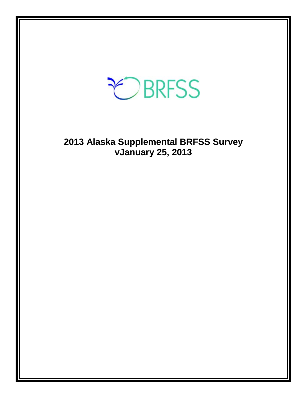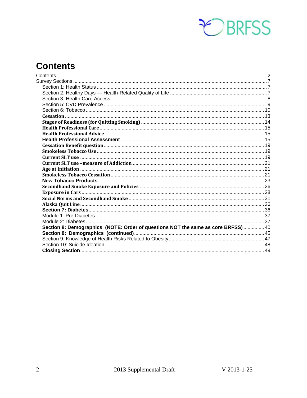

# <span id="page-1-0"></span>**Contents**

| Section 8: Demographics (NOTE: Order of questions NOT the same as core BRFSS)  40 |  |
|-----------------------------------------------------------------------------------|--|
|                                                                                   |  |
|                                                                                   |  |
|                                                                                   |  |
|                                                                                   |  |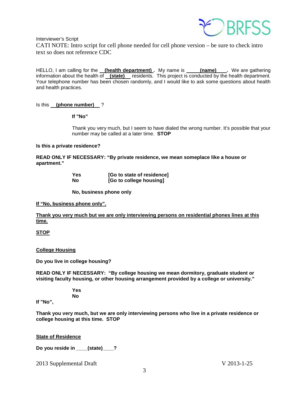

Interviewer's Script

CATI NOTE: Intro script for cell phone needed for cell phone version – be sure to check intro text so does not reference CDC

HELLO, I am calling for the <u>(health department)</u>. My name is \_\_\_\_\_(name) \_\_\_. We are gathering information about the health of **(state)** residents. This project is conducted by the health department. Your telephone number has been chosen randomly, and I would like to ask some questions about health and health practices.

## Is this **(phone number)** ?

## **If "No"**

Thank you very much, but I seem to have dialed the wrong number. It's possible that your number may be called at a later time. **STOP**

## **Is this a private residence?**

**READ ONLY IF NECESSARY: "By private residence, we mean someplace like a house or apartment."**

| Yes | [Go to state of residence] |
|-----|----------------------------|
| No  | [Go to college housing]    |

**No, business phone only**

**If "No, business phone only".**

**Thank you very much but we are only interviewing persons on residential phones lines at this time.**

## **STOP**

**College Housing**

**Do you live in college housing?** 

**READ ONLY IF NECESSARY: "By college housing we mean dormitory, graduate student or visiting faculty housing, or other housing arrangement provided by a college or university."**

> **Yes No**

**If "No",**

**Thank you very much, but we are only interviewing persons who live in a private residence or college housing at this time. STOP** 

**State of Residence**

**Do you reside in \_\_\_\_(state)\_\_\_\_?**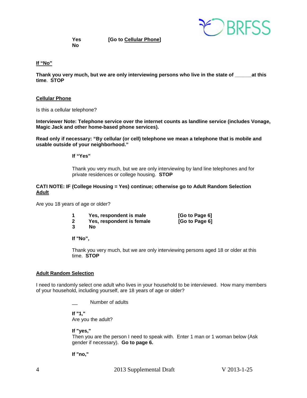

**No**

**Yes [Go to Cellular Phone]**

#### **If "No"**

**Thank you very much, but we are only interviewing persons who live in the state of \_\_\_\_\_\_at this time**. **STOP**

#### **Cellular Phone**

Is this a cellular telephone?

**Interviewer Note: Telephone service over the internet counts as landline service (includes Vonage, Magic Jack and other home-based phone services).**

**Read only if necessary: "By cellular (or cell) telephone we mean a telephone that is mobile and usable outside of your neighborhood."** 

**If "Yes"**

Thank you very much, but we are only interviewing by land line telephones and for private residences or college housing. **STOP**

#### **CATI NOTE: IF (College Housing = Yes) continue; otherwise go to Adult Random Selection Adult**

Are you 18 years of age or older?

|  | Yes, respondent is male |  | [Go to Page 6] |
|--|-------------------------|--|----------------|
|  |                         |  |                |

- **2 Yes, respondent is female [Go to Page 6]**
- **3 No**

**If "No",**

Thank you very much, but we are only interviewing persons aged 18 or older at this time. **STOP** 

#### **Adult Random Selection**

I need to randomly select one adult who lives in your household to be interviewed. How many members of your household, including yourself, are 18 years of age or older?

Number of adults

**If "1,"**  Are you the adult?

#### **If "yes,"**

Then you are the person I need to speak with. Enter 1 man or 1 woman below (Ask gender if necessary). **Go to page 6.**

**If "no,"**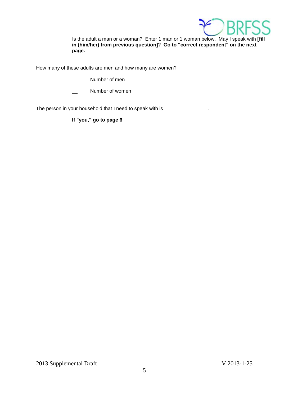

Is the adult a man or a woman? Enter 1 man or 1 woman below. May I speak with **[fill in (him/her) from previous question]**? **Go to "correct respondent" on the next page.**

How many of these adults are men and how many are women?

- Number of men
- Number of women

The person in your household that I need to speak with is \_\_\_\_\_\_\_\_\_\_\_\_\_\_\_.

**If "you," go to page 6**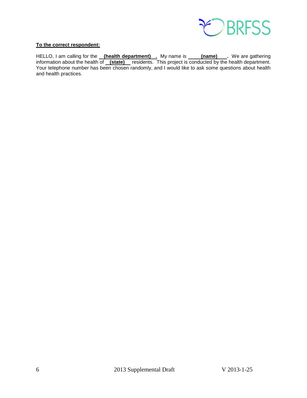

## **To the correct respondent:**

HELLO, I am calling for the <u>\_\_**(health department)** \_\_</u> My name is \_\_\_\_\_**(name)** \_\_\_. We are gathering information about the health of **(state)** residents. This project is conducted by the health department. Your telephone number has been chosen randomly, and I would like to ask some questions about health and health practices.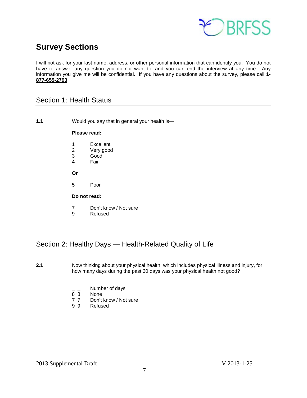

# <span id="page-6-0"></span>**Survey Sections**

I will not ask for your last name, address, or other personal information that can identify you. You do not have to answer any question you do not want to, and you can end the interview at any time. Any information you give me will be confidential. If you have any questions about the survey, please call **1- 877-655-2793**

## <span id="page-6-1"></span>Section 1: Health Status

**1.1** Would you say that in general your health is—

## **Please read:**

- 1 Excellent<br>2 Verv good
- 2 Very good<br>3 Good
- Good
- 4 Fair
- **Or**
- 5 Poor

## **Do not read:**

- 7 Don't know / Not sure
- 9 Refused

## <span id="page-6-2"></span>Section 2: Healthy Days — Health-Related Quality of Life

- **2.1** Now thinking about your physical health, which includes physical illness and injury, for how many days during the past 30 days was your physical health not good?
	- $\frac{1}{8}$   $\frac{1}{8}$  Number of days
	- None
	- 7 7 Don't know / Not sure
	- 9 9 Refused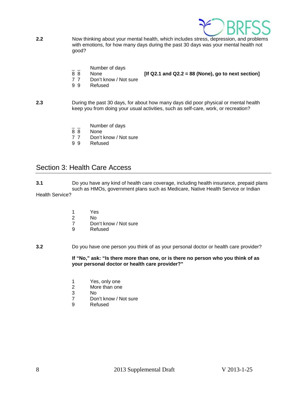

- **2.2** Now thinking about your mental health, which includes stress, depression, and problems with emotions, for how many days during the past 30 days was your mental health not good?
	- $\frac{1}{8}$   $\frac{1}{8}$  Number of days
- 8 8 None **[If Q2.1 and Q2.2 = 88 (None), go to next section]**
- 7 7 Don't know / Not sure
- 9 9 Refused
- **2.3** During the past 30 days, for about how many days did poor physical or mental health keep you from doing your usual activities, such as self-care, work, or recreation?
	- Number of days
	- 8 8 None
	- 7 7 Don't know / Not sure<br>9 9 Refused
	- **Refused**

## <span id="page-7-0"></span>Section 3: Health Care Access

- **3.1** Do you have any kind of health care coverage, including health insurance, prepaid plans such as HMOs, government plans such as Medicare, Native Health Service or Indian Health Service?
	- 1 Yes
	- 2 No
	- 7 Don't know / Not sure<br>9 Refused
		- **Refused**

## **3.2** Do you have one person you think of as your personal doctor or health care provider?

**If "No," ask: "Is there more than one, or is there no person who you think of as your personal doctor or health care provider?"**

- 1 Yes, only one<br>2 More than one
- 2 More than one<br>3 No
- 3 No
- 7 Don't know / Not sure<br>9 Refused
- **Refused**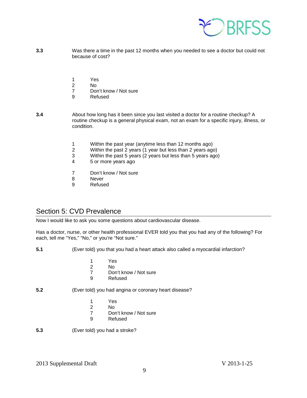

- **3.3** Was there a time in the past 12 months when you needed to see a doctor but could not because of cost?
	- 1 Yes
	- 2 No
	- Don't know / Not sure
	- 9 Refused
- **3.4** About how long has it been since you last visited a doctor for a routine checkup? A routine checkup is a general physical exam, not an exam for a specific injury, illness, or condition.
	- 1 Within the past year (anytime less than 12 months ago)<br>2 Within the past 2 years (1 year but less than 2 years ago
	- 2 Within the past 2 years (1 year but less than 2 years ago)
	- 3 Within the past 5 years (2 years but less than 5 years ago)
	- 4 5 or more years ago
	- 7 Don't know / Not sure
	- 8 Never
	- 9 Refused

## <span id="page-8-0"></span>Section 5: CVD Prevalence

Now I would like to ask you some questions about cardiovascular disease.

Has a doctor, nurse, or other health professional EVER told you that you had any of the following? For each, tell me "Yes," "No," or you're "Not sure."

- **5.1** (Ever told) you that you had a heart attack also called a myocardial infarction?
	- 1 Yes
	- 2 No
	- 7 Don't know / Not sure<br>9 Refused
	- **Refused**
- **5.2** (Ever told) you had angina or coronary heart disease?
	-
	- 1 Yes 2 No<br>7 Dor
	- 7 Don't know / Not sure<br>9 Refused
	- **Refused**
- **5.3** (Ever told) you had a stroke?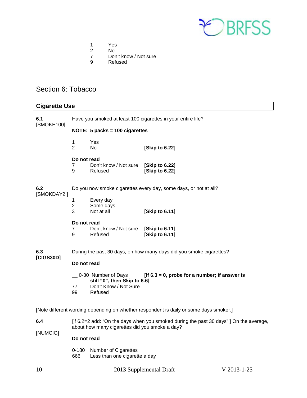

- 1 Yes<br>2 No
- 
- 2 No<br>7 Dor 7 Don't know / Not sure<br>9 Refused
- **Refused**

## <span id="page-9-0"></span>Section 6: Tobacco

| <b>Cigarette Use</b>                                                                   |                                                                                                                                         |                                                                                         |                                                                  |  |  |
|----------------------------------------------------------------------------------------|-----------------------------------------------------------------------------------------------------------------------------------------|-----------------------------------------------------------------------------------------|------------------------------------------------------------------|--|--|
| 6.1<br>[SMOKE100]                                                                      | Have you smoked at least 100 cigarettes in your entire life?                                                                            |                                                                                         |                                                                  |  |  |
|                                                                                        |                                                                                                                                         | NOTE: 5 packs = 100 cigarettes                                                          |                                                                  |  |  |
|                                                                                        | 1<br>$\overline{2}$                                                                                                                     | Yes<br>No                                                                               | [Skip to 6.22]                                                   |  |  |
|                                                                                        | Do not read<br>7<br>9                                                                                                                   | Don't know / Not sure<br>Refused                                                        | [Skip to 6.22]<br>[Skip to 6.22]                                 |  |  |
| 6.2                                                                                    |                                                                                                                                         |                                                                                         | Do you now smoke cigarettes every day, some days, or not at all? |  |  |
| [SMOKDAY2]                                                                             | 1<br>$\overline{c}$<br>3                                                                                                                | Every day<br>Some days<br>Not at all                                                    | [Skip to 6.11]                                                   |  |  |
|                                                                                        | Do not read<br>7<br>9                                                                                                                   | Don't know / Not sure<br>Refused                                                        | [Skip to 6.11]<br>[Skip to 6.11]                                 |  |  |
| 6.3                                                                                    | During the past 30 days, on how many days did you smoke cigarettes?                                                                     |                                                                                         |                                                                  |  |  |
| [CIGS30D]                                                                              | Do not read                                                                                                                             |                                                                                         |                                                                  |  |  |
|                                                                                        | 77<br>99                                                                                                                                | 0-30 Number of Days<br>still "0", then Skip to 6.6]<br>Don't Know / Not Sure<br>Refused | [If $6.3 = 0$ , probe for a number; if answer is                 |  |  |
| [Note different wording depending on whether respondent is daily or some days smoker.] |                                                                                                                                         |                                                                                         |                                                                  |  |  |
| 6.4<br>[NUMCIG]                                                                        | [if 6.2=2 add: "On the days when you smoked during the past 30 days"] On the average,<br>about how many cigarettes did you smoke a day? |                                                                                         |                                                                  |  |  |
|                                                                                        | Do not read                                                                                                                             |                                                                                         |                                                                  |  |  |

0-180 Number of Cigarettes 666 Less than one cigarette a day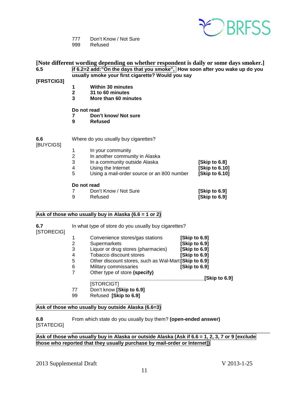

- 777 Don't Know / Not Sure
- 999 Refused

| 6.5<br>[FRSTCIG3] | [Note different wording depending on whether respondent is daily or some days smoker.]<br>if 6.2=2 add:"On the days that you smoke", How soon after you wake up do you<br>usually smoke your first cigarette? Would you say |                                            |                |  |
|-------------------|-----------------------------------------------------------------------------------------------------------------------------------------------------------------------------------------------------------------------------|--------------------------------------------|----------------|--|
|                   | 1                                                                                                                                                                                                                           | <b>Within 30 minutes</b>                   |                |  |
|                   | $\overline{\mathbf{2}}$                                                                                                                                                                                                     | 31 to 60 minutes                           |                |  |
|                   | 3                                                                                                                                                                                                                           | More than 60 minutes                       |                |  |
|                   | Do not read<br>7<br>9                                                                                                                                                                                                       | Don't know/ Not sure<br><b>Refused</b>     |                |  |
| 6.6<br>[BUYCIGS]  |                                                                                                                                                                                                                             | Where do you usually buy cigarettes?       |                |  |
|                   | 1                                                                                                                                                                                                                           | In your community                          |                |  |
|                   | $\overline{\mathbf{c}}$                                                                                                                                                                                                     | In another community in Alaska             |                |  |
|                   | 3                                                                                                                                                                                                                           | In a community outside Alaska              | [Skip to 6.8]  |  |
|                   | 4                                                                                                                                                                                                                           | Using the Internet                         | [Skip to 6.10] |  |
|                   | 5                                                                                                                                                                                                                           | Using a mail-order source or an 800 number | [Skip to 6.10] |  |
|                   | Do not read                                                                                                                                                                                                                 |                                            |                |  |
|                   | 7                                                                                                                                                                                                                           | Don't Know / Not Sure                      | [Skip to 6.9]  |  |
|                   | 9                                                                                                                                                                                                                           | Refused                                    | [Skip to 6.9]  |  |
|                   |                                                                                                                                                                                                                             |                                            |                |  |

## **Ask of those who usually buy in Alaska (6.6 = 1 or 2)**

| 6.7<br>[STORECIG] |   | In what type of store do you usually buy cigarettes?  |               |               |
|-------------------|---|-------------------------------------------------------|---------------|---------------|
|                   | 1 | Convenience stores/gas stations                       | [Skip to 6.9] |               |
|                   | 2 | Supermarkets                                          | [Skip to 6.9] |               |
|                   | 3 | Liquor or drug stores (pharmacies)                    | [Skip to 6.9] |               |
|                   | 4 | Tobacco discount stores                               | [Skip to 6.9] |               |
|                   | 5 | Other discount stores, such as Wal-Mart [Skip to 6.9] |               |               |
|                   | 6 | Military commissaries                                 | [Skip to 6.9] |               |
|                   |   | Other type of store (specify)                         |               |               |
|                   |   |                                                       |               | [Skip to 6.9] |

## [STORCIGT]

- 77 Don't know **[Skip to 6.9]**
- 99 Refused **[Skip to 6.9]**

## **Ask of those who usually buy outside Alaska (6.6=3)**

## **6.8** From which state do you usually buy them? **(open-ended answer)** [STATECIG]

## \_\_\_\_\_\_\_\_\_\_\_\_\_\_\_\_\_\_\_\_\_\_\_\_\_\_\_\_\_\_\_\_\_\_\_\_\_\_\_\_\_\_\_\_\_\_\_\_\_\_\_\_\_\_\_\_\_\_\_\_\_\_\_\_\_\_\_\_\_\_\_ Ask of those who usually buy in Alaska or outside Alaska (Ask if 6.6 = 1, 2, 3, 7 or 9 [exclude **those who reported that they usually purchase by mail-order or Internet])**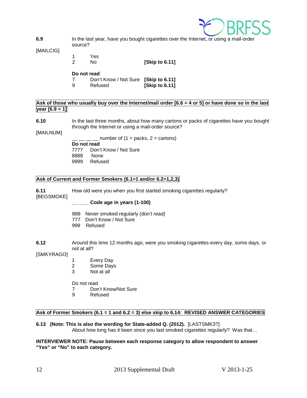

**6.9** In the last year, have you bought cigarettes over the Internet, or using a mail-order source?

[MAILCIG]

1 Yes<br>2 No

2 No **[Skip to 6.11]**

#### **Do not read**

- 7 Don't Know / Not Sure **[Skip to 6.11]**
- **[Skip to 6.11]**

## Ask of those who usually buy over the Internet/mail order [6.6 = 4 or 5] or have done so in the last **year [6.9 = 1]**

- **6.10** In the last three months, about how many cartons or packs of cigarettes have you bought through the Internet or using a mail-order source?
- [MAILNUM]

 $\Box$  number of (1 = packs, 2 = cartons) **Do not read** 7777 Don't Know / Not Sure 8888 None 9999 Refused

## **Ask of Current and Former Smokers (6.1=1 and/or 6.2=1,2,3)**

**6.11** How old were you when you first started smoking cigarettes regularly?

[BEGSMOKE]

**\_\_ \_\_\_ Code age in years (1-100)**

- 888 Never smoked regularly *(don't read)*
- 777 Don't Know / Not Sure
- 999 Refused
- **6.12** Around this time 12 months ago, were you smoking cigarettes every day, some days, or not at all?

[SMKYRAGO]

- 1 Every Day<br>2 Some Davs
- Some Days
- 3 Not at all

Do not read

- 7 Don't Know/Not Sure
- 9 Refused

## **Ask of Former Smokers (6.1 = 1 and 6.2 = 3) else skip to 6.14: REVISED ANSWER CATEGORIES**

**6.13 (Note: This is also the wording for State-added Q. (2012).** [LASTSMK3?] About how long has it been since you last smoked cigarettes regularly? Was that…

#### **INTERVIEWER NOTE: Pause between each response category to allow respondent to answer "Yes" or "No" to each category.**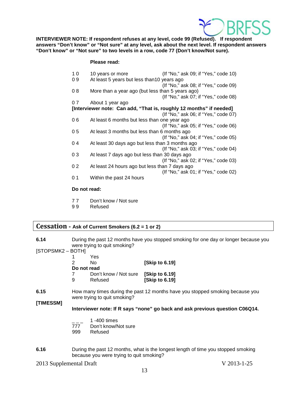

**INTERVIEWER NOTE: If respondent refuses at any level, code 99 (Refused). If respondent answers "Don't know" or "Not sure" at any level, ask about the next level. If respondent answers "Don't know" or "Not sure" to two levels in a row, code 77 (Don't know/Not sure).**

## **Please read:**

| 10           | 10 years or more                                                    | (If "No," ask 09; if "Yes," code 10) |
|--------------|---------------------------------------------------------------------|--------------------------------------|
| 09           | At least 5 years but less than 10 years ago                         |                                      |
|              |                                                                     | (If "No," ask 08; if "Yes," code 09) |
| 08           | More than a year ago (but less than 5 years ago)                    |                                      |
|              |                                                                     | (If "No," ask 07; if "Yes," code 08) |
| 07           | About 1 year ago                                                    |                                      |
|              | [Interviewer note: Can add, "That is, roughly 12 months" if needed] |                                      |
|              |                                                                     | (If "No," ask 06; if "Yes," code 07) |
| 06           | At least 6 months but less than one year ago                        |                                      |
|              |                                                                     | (If "No," ask 05; if "Yes," code 06) |
| 05           | At least 3 months but less than 6 months ago                        |                                      |
|              |                                                                     | (If "No," ask 04; if "Yes," code 05) |
| 04           | At least 30 days ago but less than 3 months ago                     |                                      |
|              |                                                                     | (If "No," ask 03; if "Yes," code 04) |
| 03           | At least 7 days ago but less than 30 days ago                       |                                      |
|              |                                                                     | (If "No," ask 02; if "Yes," code 03) |
| 02           | At least 24 hours ago but less than 7 days ago                      |                                      |
|              |                                                                     | (If "No," ask 01; if "Yes," code 02) |
| 01           | Within the past 24 hours                                            |                                      |
|              |                                                                     |                                      |
| Do not road: |                                                                     |                                      |

#### **Do not read:**

- 77 Don't know / Not sure
- 9 9 Refused

## <span id="page-12-0"></span>**Cessation - Ask of Current Smokers (6.2 = 1 or 2)**

| 6.14 | During the past 12 months have you stopped smoking for one day or longer because you |
|------|--------------------------------------------------------------------------------------|
|      | were trying to quit smoking?                                                         |

[STOPSMK2 – BOTH]

|               | Yes                   |                      |
|---------------|-----------------------|----------------------|
| $\mathcal{P}$ | N٥                    | [Skip to 6.19]       |
| Do not read   |                       |                      |
|               | Don't know / Not sure | <b>Skip to 6.191</b> |
| 9             | Refused               | [Skip to 6.19]       |

**6.15** How many times during the past 12 months have you stopped smoking because you were trying to quit smoking?

**[TIMESSM]**

**Interviewer note: If R says "none" go back and ask previous question C06Q14.**

- $\frac{1}{777}$  1 -400 times
- Don't know/Not sure
- 999 Refused
- **6.16** During the past 12 months, what is the longest length of time you stopped smoking because you were trying to quit smoking?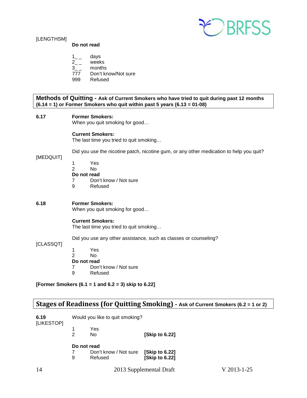

## [LENGTHSM]

## **Do not read**

- $1_{-}$  days
- 2\_ \_ weeks
- 3\_\_ months<br>777 Don't kn
- Don't know/Not sure
- 999 Refused

**Methods of Quitting - Ask of Current Smokers who have tried to quit during past 12 months (6.14 = 1) or Former Smokers who quit within past 5 years (6.13 = 01-08)**

## **6.17 Former Smokers:**

When you quit smoking for good…

## **Current Smokers:**

The last time you tried to quit smoking…

Did you use the nicotine patch, nicotine gum, or any other medication to help you quit?

## [MEDQUIT]

- 1 Yes
- 2 No

# **Do not read**<br>7 Don't

- Don't know / Not sure
- 9 Refused

## **6.18 Former Smokers:**

When you quit smoking for good…

## **Current Smokers:**

The last time you tried to quit smoking…

Did you use any other assistance, such as classes or counseling?

## [CLASSQT]

- 1 Yes 2 No **Do not read** 7 Don't know / Not sure
- 9 Refused

**[Former Smokers (6.1 = 1 and 6.2 = 3) skip to 6.22]**

## <span id="page-13-0"></span>**Stages of Readiness (for Quitting Smoking) - Ask of Current Smokers (6.2 = 1 or 2)**

| 6.19<br>[LIKESTOP] | Would you like to quit smoking? |                       |                      |
|--------------------|---------------------------------|-----------------------|----------------------|
|                    |                                 | Yes<br>No.            |                      |
|                    |                                 |                       | <b>Skip to 6.221</b> |
|                    |                                 | Do not read           |                      |
|                    |                                 | Don't know / Not sure | [Skip to 6.22]       |
|                    | 9                               | Refused               | [Skip to 6.22]       |
|                    |                                 |                       |                      |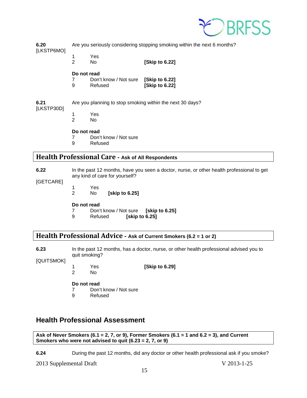

**6.20** Are you seriously considering stopping smoking within the next 6 months? [LKSTP6MO]

1 Yes<br>2 No

**[Skip to 6.22]** 

## **Do not read**

| 7 | Don't know / Not sure | [Skip to 6.22] |
|---|-----------------------|----------------|
| 9 | Refused               | [Skip to 6.22] |

## **6.21** Are you planning to stop smoking within the next 30 days?

- [LKSTP30D]
	- 1 Yes N<sub>o</sub>

## **Do not read**

- 7 Don't know / Not sure<br>9 Refused
- **Refused**

## <span id="page-14-0"></span>**Health Professional Care - Ask of All Respondents**

**6.22** In the past 12 months, have you seen a doctor, nurse, or other health professional to get any kind of care for yourself?

- [GETCARE]
- 1 Yes<br>2 No
	- [skip to 6.25]

## **Do not read**

- 7 Don't know / Not sure **[skip to 6.25]**
- 9 Refused **[skip to 6.25]**

## <span id="page-14-1"></span>**Health Professional Advice - Ask of Current Smokers (6.2 = 1 or 2)**

**6.23** In the past 12 months, has a doctor, nurse, or other health professional advised you to quit smoking?

[QUITSMOK]

1 Yes **[Skip to 6.29]**

 $No$ 

## **Do not read**

- 7 Don't know / Not sure
- 9 Refused

# <span id="page-14-2"></span>**Health Professional Assessment**

**Ask of Never Smokers (6.1 = 2, 7, or 9), Former Smokers (6.1 = 1 and 6.2 = 3), and Current Smokers who were not advised to quit (6.23 = 2, 7, or 9)**

**6.24** During the past 12 months, did any doctor or other health professional ask if you smoke?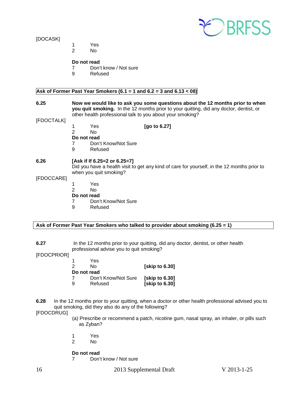

## [DOCASK]

- 1 Yes
- 2 No

## **Do not read**

- 7 Don't know / Not sure<br>9 Refused
- **Refused**

## **Ask of Former Past Year Smokers (6.1 = 1 and 6.2 = 3 and 6.13 < 08)**

**6.25 Now we would like to ask you some questions about the 12 months prior to when you quit smoking.** In the 12 months prior to your quitting, did any doctor, dentist, or other health professional talk to you about your smoking?

[FDOCTALK]

- 1 Yes **[go to 6.27]**
- $N<sub>0</sub>$
- **Do not read**
- 7 Don't Know/Not Sure
- 9 Refused

## **6.26 [Ask if If 6.25=2 or 6.25=7]**

Did you have a health visit to get any kind of care for yourself, in the 12 months prior to when you quit smoking?

#### [FDOCCARE]

- 1 Yes
- 2 No
- **Do not read**<br>7 Don'
- 7 Don't Know/Not Sure<br>9 Refused
	- **Refused**

## **Ask of Former Past Year Smokers who talked to provider about smoking (6.25 = 1)**

## **6.27** In the 12 months prior to your quitting, did any doctor, dentist, or other health professional advise you to quit smoking?

[FDOCPRIOR]

| -1          | Yes                 |                |
|-------------|---------------------|----------------|
| 2           | N٥                  | [skip to 6.30] |
| Do not read |                     |                |
| 7           | Don't Know/Not Sure | [skip to 6.30] |
| 9           | Refused             | [skip to 6.30] |

## **6.28** In the 12 months prior to your quitting, when a doctor or other health professional advised you to quit smoking, did they also do any of the following?

## [FDOCDRUG]

- (a) Prescribe or recommend a patch, nicotine gum, nasal spray, an inhaler, or pills such as Zyban?
- 1 Yes
- 2 No

## **Do not read**

7 Don't know / Not sure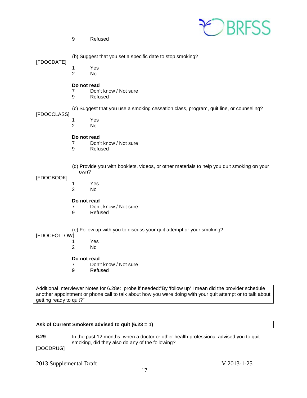

9 Refused

[FDOCDATE]

- 1 Yes<br>2 No
	- $No$

## **Do not read**

- 7 Don't know / Not sure
- 9 Refused
- (c) Suggest that you use a smoking cessation class, program, quit line, or counseling?

[FDOCCLASS]

- 1 Yes<br>2 No
- No.

## **Do not read**

- 7 Don't know / Not sure<br>9 Refused
- **Refused**
- (d) Provide you with booklets, videos, or other materials to help you quit smoking on your own?

## [FDOCBOOK]

- 1 Yes<br>2 No
	- 2 No

# **Do not read**<br> **7** Don'

- 7 Don't know / Not sure<br>9 Refused
	- **Refused**

(e) Follow up with you to discuss your quit attempt or your smoking?

## [FDOCFOLLOW]

- 1 Yes
- 2 No

## **Do not read**

- 7 Don't know / Not sure
- 9 Refused

Additional Interviewer Notes for 6.28e: probe if needed:"By 'follow up' I mean did the provider schedule another appointment or phone call to talk about how you were doing with your quit attempt or to talk about getting ready to quit?"

## **Ask of Current Smokers advised to quit (6.23 = 1)**

**6.29** In the past 12 months, when a doctor or other health professional advised you to quit smoking, did they also do any of the following?

[DOCDRUG]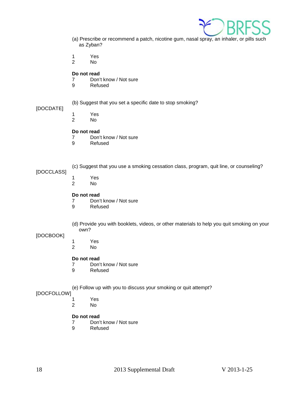

- (a) Prescribe or recommend a patch, nicotine gum, nasal spray, an inhaler, or pills such as Zyban?
- 1 Yes<br>2 No
- No.

- 7 Don't know / Not sure
- 9 Refused

## (b) Suggest that you set a specific date to stop smoking?

## [DOCDATE]

- 
- 1 Yes N<sub>o</sub>

# **Do not read**<br>7 Don'

- 7 Don't know / Not sure<br>9 Refused
- **Refused**

## [DOCCLASS]

- 1 Yes<br>2 No
- N<sub>o</sub>

## **Do not read**

- 7 Don't know / Not sure<br>9 Refused
- **Refused**
- (d) Provide you with booklets, videos, or other materials to help you quit smoking on your own?

(c) Suggest that you use a smoking cessation class, program, quit line, or counseling?

## [DOCBOOK]

- 1 Yes<br>2 No
	- No.

## **Do not read**

- 7 Don't know / Not sure<br>9 Refused
- **Refused**

## (e) Follow up with you to discuss your smoking or quit attempt?

## [DOCFOLLOW]

- 1 Yes<br>2 No
	- No.

## **Do not read**

- 7 Don't know / Not sure<br>9 Refused
- **Refused**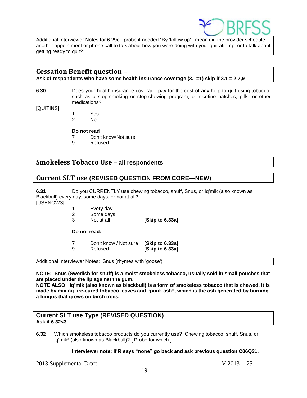

Additional Interviewer Notes for 6.29e: probe if needed:"By 'follow up' I mean did the provider schedule another appointment or phone call to talk about how you were doing with your quit attempt or to talk about getting ready to quit?"

## <span id="page-18-0"></span>**Cessation Benefit question –**

**Ask of respondents who have some health insurance coverage (3.1=1) skip if 3.1 = 2,7,9**

**6.30** Does your health insurance coverage pay for the cost of any help to quit using tobacco, such as a stop-smoking or stop-chewing program, or nicotine patches, pills, or other medications?

[QUITINS]

- 1 Yes<br>2 No
- N<sub>o</sub>

## **Do not read**

- 7 Don't know/Not sure
- 9 Refused

## <span id="page-18-1"></span>**Smokeless Tobacco Use – all respondents**

## <span id="page-18-2"></span>**Current SLT use (REVISED QUESTION FROM CORE—NEW)**

**6.31** Do you CURRENTLY use chewing tobacco, snuff, Snus, or Iq'mik (also known as Blackbull) every day, some days, or not at all?

[USENOW3]

- 1 Every day<br>2 Some days
- Some days
- 3 Not at all **[Skip to 6.33a]**

**Do not read:**

| 7 | Don't know / Not sure [Skip to 6.33a] |                 |
|---|---------------------------------------|-----------------|
| 9 | Refused                               | [Skip to 6.33a] |

Additional Interviewer Notes: Snus (rhymes with 'goose')

**NOTE: Snus (Swedish for snuff) is a moist smokeless tobacco, usually sold in small pouches that are placed under the lip against the gum.** 

**NOTE ALSO: Iq'mik (also known as blackbull) is a form of smokeless tobacco that is chewed. It is made by mixing fire-cured tobacco leaves and "punk ash", which is the ash generated by burning a fungus that grows on birch trees.**

## **Current SLT use Type (REVISED QUESTION) Ask if 6.32<3**

**6.32** Which smokeless tobacco products do you currently use? Chewing tobacco, snuff, Snus, or Iq'mik\* (also known as Blackbull)? [ Probe for which.]

## **Interviewer note: If R says "none" go back and ask previous question C06Q31.**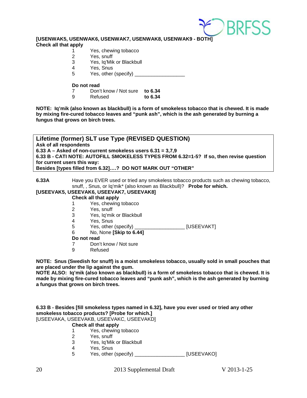

**[USENWAK5, USENWAK6, USENWAK7, USENWAK8, USENWAK9 - BOTH]**

**Check all that apply**

- 1 Yes, chewing tobacco<br>2 Yes, snuff
- 2 Yes, snuff<br>3 Yes, Iq'Mik
- Yes, Iq'Mik or Blackbull
- 4 Yes, Snus<br>5 Yes other
- 5 Yes, other (specify) \_\_\_\_\_\_\_\_\_\_\_\_\_\_\_\_\_\_

#### **Do not read**

- 7 Don't know / Not sure **to 6.34**
	- 9 Refused **to 6.34**

**NOTE: Iq'mik (also known as blackbull) is a form of smokeless tobacco that is chewed. It is made by mixing fire-cured tobacco leaves and "punk ash", which is the ash generated by burning a fungus that grows on birch trees.**

**Lifetime (former) SLT use Type (REVISED QUESTION) Ask of all respondents 6.33 A – Asked of non-current smokeless users 6.31 = 3,7,9 6.33 B - CATI NOTE: AUTOFILL SMOKELESS TYPES FROM 6.32=1-5? If so, then revise question for current users this way: Besides [types filled from 6.32]….? DO NOT MARK OUT "OTHER"**

**6.33A** Have you EVER used or tried any smokeless tobacco products such as chewing tobacco, snuff, , Snus, or Iq'mik\* (also known as Blackbull)? **Probe for which.**

## **[USEEVAK5, USEEVAK6, USEEVAK7, USEEVAK8]**

#### **Check all that apply**

- 1 Yes, chewing tobacco
- 2 Yes, snuff<br>3 Yes, la'mil
- 3 Yes, Iq'mik or Blackbull<br>4 Yes, Snus
- 
- 4 Yes, Snus<br>5 Yes, other (specify) \_\_\_\_\_\_\_\_\_\_\_\_\_\_\_\_\_\_\_ [USEEVAKT]
- 6 No, None **[Skip to 6.44]**
- **Do not read**
- 7 Don't know / Not sure<br>9 Refused
- **Refused**

**NOTE: Snus (Swedish for snuff) is a moist smokeless tobacco, usually sold in small pouches that are placed under the lip against the gum.** 

**NOTE ALSO: Iq'mik (also known as blackbull) is a form of smokeless tobacco that is chewed. It is made by mixing fire-cured tobacco leaves and "punk ash", which is the ash generated by burning a fungus that grows on birch trees.**

**6.33 B - Besides [fill smokeless types named in 6.32], have you ever used or tried any other smokeless tobacco products? [Probe for which.]** [USEEVAKA, USEEVAKB, USEEVAKC, USEEVAKD]

## **Check all that apply**

- 1 Yes, chewing tobacco<br>2 Yes, snuff
- Yes, snuff
- 3 Yes, Iq'Mik or Blackbull
- 4 Yes, Snus<br>5 Yes, other
	- 5 Yes, other (specify) \_\_\_\_\_\_\_\_\_\_\_\_\_\_\_\_\_\_ [USEEVAKO]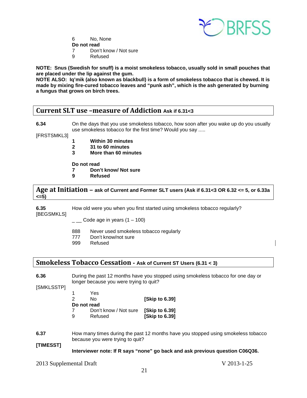

- 6 No, None
- **Do not read**
- 7 Don't know / Not sure<br>9 Refused
- **Refused**

**NOTE: Snus (Swedish for snuff) is a moist smokeless tobacco, usually sold in small pouches that are placed under the lip against the gum.** 

**NOTE ALSO: Iq'mik (also known as blackbull) is a form of smokeless tobacco that is chewed. It is made by mixing fire-cured tobacco leaves and "punk ash", which is the ash generated by burning a fungus that grows on birch trees.**

## <span id="page-20-0"></span>**Current SLT use –measure of Addiction Ask if 6.31<3**

**6.34** On the days that you use smokeless tobacco, how soon after you wake up do you usually use smokeless tobacco for the first time? Would you say .....

[FRSTSMKL3]

- **1 Within 30 minutes**
- **2 31 to 60 minutes**
- **3 More than 60 minutes**

**Do not read**

- **7 Don't know/ Not sure**
- **9 Refused**

<span id="page-20-1"></span>**Age at Initiation – ask of Current and Former SLT users (Ask if 6.31<3 OR 6.32 <= 5, or 6.33a <=5)**

**6.35** How old were you when you first started using smokeless tobacco regularly? [BEGSMKLS]

- $\_$  Code age in years (1 100)
- 888 Never used smokeless tobacco regularly
- 777 Don't know/not sure<br>999 Refused
- Refused

## <span id="page-20-2"></span>**Smokeless Tobacco Cessation - Ask of Current ST Users (6.31 < 3)**

**6.36** During the past 12 months have you stopped using smokeless tobacco for one day or longer because you were trying to quit?

[SMKLSSTP]

| 1 | Yes                   |                      |
|---|-----------------------|----------------------|
| 2 | N٥                    | [Skip to 6.39]       |
|   | Do not read           |                      |
|   | Don't know / Not sure | <b>Skip to 6.391</b> |
| 9 | Refused               | [Skip to 6.39]       |

**6.37** How many times during the past 12 months have you stopped using smokeless tobacco because you were trying to quit?

**[TIMESST]**

## **Interviewer note: If R says "none" go back and ask previous question C06Q36.**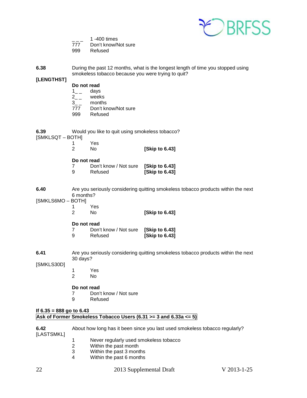

- 
- 1 -400 times<br>
777 Don't know/N Don't know/Not sure
- 999 Refused

**6.38** During the past 12 months, what is the longest length of time you stopped using smokeless tobacco because you were trying to quit?

## **[LENGTHST]**

- **Do not read**<br>1 days
- $\frac{1}{2}$  -
- months
- $2_{--}$  weeks<br> $3_{--}$  months<br>777 Don't k Don't know/Not sure
- 999 Refused
- **6.39** Would you like to quit using smokeless tobacco?

[SMKLSQT – BOTH]

- 1 Yes 2 No **[Skip to 6.43]**
- **Do not read**
- 7 Don't know / Not sure **[Skip to 6.43] [Skip to 6.43]**
- **6.40** Are you seriously considering quitting smokeless tobacco products within the next 6 months?

[SMKLS6MO – BOTH]

- 1 Yes<br>2 No
	- 2 No **[Skip to 6.43]**

**Do not read**

- 7 Don't know / Not sure **[Skip to 6.43]** 9 Refused **[Skip to 6.43]**
- **6.41** Are you seriously considering quitting smokeless tobacco products within the next 30 days?

[SMKLS30D]

1 Yes No.

## **Do not read**

- 7 Don't know / Not sure<br>9 Refused
	- **Refused**

## **If 6.35 = 888 go to 6.43 Ask of Former Smokeless Tobacco Users (6.31 >= 3 and 6.33a <= 5)**

- **6.42** About how long has it been since you last used smokeless tobacco regularly? [LASTSMKL] 1 Never regularly used smokeless tobacco<br>2 Within the past month
	- Within the past month
	- 3 Within the past 3 months
	- 4 Within the past 6 months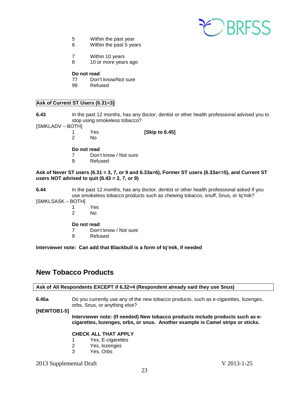

- 5 Within the past year
- 6 Within the past 5 years
- 7 Within 10 years
- 8 10 or more years ago

- 77 Don't know/Not sure
- 99 Refused

## **Ask of Current ST Users (6.31<3)**

**6.43** In the past 12 months, has any doctor, dentist or other health professional advised you to stop using smokeless tobacco?

[SMKLADV – BOTH]

1 Yes **[Skip to 6.45]**

No.

## **Do not read**

- 7 Don't know / Not sure
- 9 Refused

## **Ask of Never ST users (6.31 = 3, 7, or 9 and 6.33a=6), Former ST users (6.33a<=5), and Current ST users NOT advised to quit (6.43 = 2, 7, or 9)**

**6.44** In the past 12 months, has any doctor, dentist or other health professional asked if you use smokeless tobacco products such as chewing tobacco, snuff, Snus, or Iq'mik?

[SMKLSASK – BOTH]

1 Yes<br>2 No No.

## **Do not read**

- 7 Don't know / Not sure<br>9 Refused
- **Refused**

## **Interviewer note: Can add that Blackbull is a form of Iq'mik, if needed**

## <span id="page-22-0"></span>**New Tobacco Products**

## **Ask of All Respondents EXCEPT if 6.32=4 (Respondent already said they use Snus)**

**6.45a** Do you currently use any of the new tobacco products, such as e-cigarettes, lozenges, orbs, Snus, or anything else?

**[NEWTOB1-5]**

**Interviewer note: (If needed) New tobacco products include products such as ecigarettes, lozenges, orbs, or snus. Another example is Camel strips or sticks.**

## **CHECK ALL THAT APPLY**

- 1 Yes, E-cigarettes<br>2 Yes, lozenges
- 2 Yes, lozenges<br>3 Yes. Orbs
- Yes, Orbs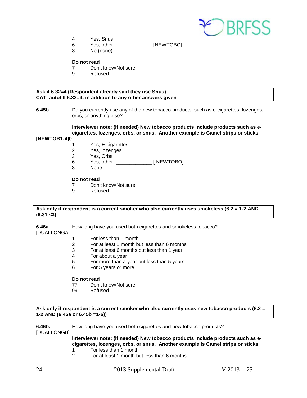

- 4 Yes, Snus
- 6 Yes, other: \_\_\_\_\_\_\_\_\_\_\_\_\_ [NEWTOBO]
- 8 No (none)

- 7 Don't know/Not sure<br>9 Refused
	- **Refused**

## **Ask if 6.32=4 (Respondent already said they use Snus) CATI autofill 6.32=4, in addition to any other answers given**

**6.45b** Do you currently use any of the new tobacco products, such as e-cigarettes, lozenges, orbs, or anything else?

## **Interviewer note: (If needed) New tobacco products include products such as ecigarettes, lozenges, orbs, or snus. Another example is Camel strips or sticks.**

## **[NEWTOB1-4]0**

- 1 Yes, E-cigarettes
- 2 Yes, lozenges
- 3 Yes, Orbs
- 6 Yes, other: \_\_\_\_\_\_\_\_\_\_\_\_\_ [ NEWTOBO]
- 8 None

#### **Do not read**

- 7 Don't know/Not sure
- 9 Refused

#### **Ask only if respondent is a current smoker who also currently uses smokeless (6.2 = 1-2 AND (6.31 <3)**

**6.46a** How long have you used both cigarettes and smokeless tobacco?

[DUALLONGA]

- 1 For less than 1 month
- 2 For at least 1 month but less than 6 months<br>3 For at least 6 months but less than 1 year
- For at least 6 months but less than 1 year
- 4 For about a year
- 5 For more than a year but less than 5 years<br>6 For 5 years or more
- For 5 years or more

# **Do not read**<br>77 Don'

- Don't know/Not sure
- 99 Refused

#### **Ask only if respondent is a current smoker who also currently uses new tobacco products (6.2 = 1-2 AND (6.45a or 6.45b =1-6))**

## **6.46b.** How long have you used both cigarettes and new tobacco products?

[DUALLONGB]

**Interviewer note: (If needed) New tobacco products include products such as ecigarettes, lozenges, orbs, or snus. Another example is Camel strips or sticks.**

- 1 For less than 1 month<br>2 For at least 1 month by
- 2 For at least 1 month but less than 6 months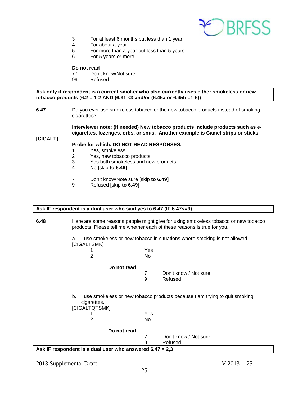

- 3 For at least 6 months but less than 1 year
- 4 For about a year
- $5$  For more than a year but less than 5 years<br>6 For 5 years or more
- For 5 years or more

- 77 Don't know/Not sure
- 99 Refused

**Ask only if respondent is a current smoker who also currently uses either smokeless or new tobacco products (6.2 = 1-2 AND (6.31 <3 and/or (6.45a or 6.45b =1-6))**

**6.47** Do you ever use smokeless tobacco or the new tobacco products instead of smoking cigarettes?

> **Interviewer note: (If needed) New tobacco products include products such as ecigarettes, lozenges, orbs, or snus. Another example is Camel strips or sticks.**

#### **[CIGALT]**

## **Probe for which. DO NOT READ RESPONSES.**

- 1 Yes, smokeless<br>2 Yes, new tobacc
- 2 Yes, new tobacco products<br>3 Yes both smokeless and ne
- 3 Yes both smokeless and new products<br>4 No Iskin to 6.491
- 4 No [skip **to 6.49]**
- 7 Don't know/Note sure [skip **to 6.49]**
- 9 Refused [skip **to 6.49]**

#### **Ask IF respondent is a dual user who said yes to 6.47 (IF 6.47<=3).**

**6.48** Here are some reasons people might give for using smokeless tobacco or new tobacco products. Please tell me whether each of these reasons is true for you.

> a. I use smokeless or new tobacco in situations where smoking is not allowed. [CIGALTSMK]

1 Yes 2 No

## **Do not read**

7 Don't know / Not sure 9 Refused

b. I use smokeless or new tobacco products because I am trying to quit smoking cigarettes.

| [CIGALTQTSMK] |  |
|---------------|--|
|               |  |

1 Yes<br>2 No 2 No



7 Don't know / Not sure 9 Refused

**Ask IF respondent is a dual user who answered 6.47 = 2,3**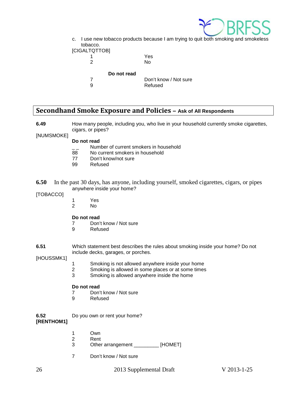

c. I use new tobacco products because I am trying to quit both smoking and smokeless tobacco. [CIGAI

| ALTQTTOBI   |                       |
|-------------|-----------------------|
|             | Yes                   |
| 2           | N٥                    |
| Do not read |                       |
|             | Don't know / Not sure |
| g           | Refused               |
|             |                       |

## <span id="page-25-0"></span>**Secondhand Smoke Exposure and Policies – Ask of All Respondents**

**6.49** How many people, including you, who live in your household currently smoke cigarettes, cigars, or pipes?

## [NUMSMOKE]

## **Do not read**

- $\frac{1}{2}$  Number of current smokers in household<br>88 No current smokers in household
- 88 No current smokers in household<br>77 Don't know/not sure
- Don't know/not sure
- 99 Refused
- **6.50** In the past 30 days, has anyone, including yourself, smoked cigarettes, cigars, or pipes anywhere inside your home?

## [TOBACCO]

- 1 Yes<br>2 No
	- N<sub>o</sub>

# **Do not read**<br> **Poon**

- 7 Don't know / Not sure<br>9 Refused
	- **Refused**
- **6.51** Which statement best describes the rules about smoking inside your home? Do not include decks, garages, or porches.

[HOUSSMK1]

- 1 Smoking is not allowed anywhere inside your home
- 2 Smoking is allowed in some places or at some times<br>3 Smoking is allowed anywhere inside the home
- 3 Smoking is allowed anywhere inside the home

## **Do not read**

- 7 Don't know / Not sure
- 9 Refused
- **6.52** Do you own or rent your home? **[RENTHOM1]**
	- 1 Own
	- 2 Rent<br>3 Other
	- Other arrangement \_\_\_\_\_\_\_\_\_ [HOMET]
	- 7 Don't know / Not sure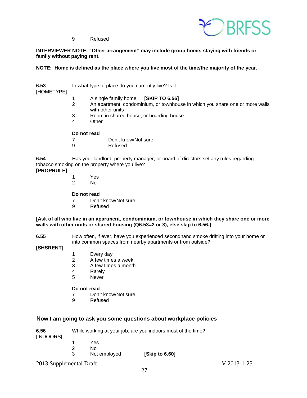

9 Refused

## **INTERVIEWER NOTE: "Other arrangement" may include group home, staying with friends or family without paying rent.**

## **NOTE: Home is defined as the place where you live most of the time/the majority of the year.**

**6.53** In what type of place do you currently live? Is it …

[HOMETYPE]

- 
- 1 A single family home **[SKIP TO 6.56]** An apartment, condominium, or townhouse in which you share one or more walls with other units
- 3 Room in shared house, or boarding house
- **Other**

## **Do not read**

- 7 Don't know/Not sure
- 9 Refused

**6.54** Has your landlord, property manager, or board of directors set any rules regarding tobacco smoking on the property where you live?

## **[PROPRULE]**

- 1 Yes<br>2 No
	- 2 No

## **Do not read**

- 7 Don't know/Not sure<br>9 Refused
	- **Refused**

## **[Ask of all who live in an apartment, condominium, or townhouse in which they share one or more walls with other units or shared housing (Q6.53=2 or 3), else skip to 6.56.]**

**6.55** How often, if ever, have you experienced secondhand smoke drifting into your home or into common spaces from nearby apartments or from outside?

## **[SHSRENT]**

- 1 Every day<br>2 A few time
- 2 A few times a week
- 3 A few times a month
- 4 Rarely<br>5 Never
	- **Never**

## **Do not read**

- 7 Don't know/Not sure
- 9 Refused

## **Now I am going to ask you some questions about workplace policies**

| 6.56      | While working at your job, are you indoors most of the time? |
|-----------|--------------------------------------------------------------|
| [INDOORS] |                                                              |

- 1 Yes
	- 2 No
	- 3 Not employed **[Skip to 6.60]**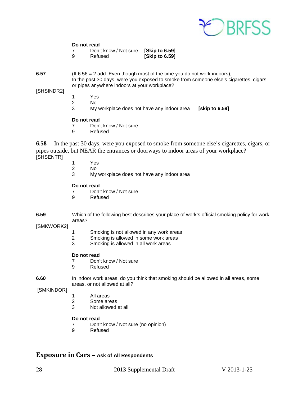

7 Don't know / Not sure **[Skip to 6.59] [Skip to 6.59]** 

**6.57** (If 6.56 = 2 add: Even though most of the time you do not work indoors), In the past 30 days, were you exposed to smoke from someone else's cigarettes, cigars, or pipes anywhere indoors at your workplace?

## [SHSINDR2]

- 1 Yes
- 2 No<br>3 My
- 3 My workplace does not have any indoor area **[skip to 6.59]**

## **Do not read**

- 7 Don't know / Not sure
- 9 Refused

**6.58** In the past 30 days, were you exposed to smoke from someone else's cigarettes, cigars, or pipes outside, but NEAR the entrances or doorways to indoor areas of your workplace? [SHSENTR]

- 
- 1 Yes<br>2 No 2 No<br>3 My
- My workplace does not have any indoor area

## **Do not read**

- 7 Don't know / Not sure
- 9 Refused

## **6.59** Which of the following best describes your place of work's official smoking policy for work areas?

[SMKWORK2]

- 1 Smoking is not allowed in any work areas
- 2 Smoking is allowed in some work areas<br>3 Smoking is allowed in all work areas
- Smoking is allowed in all work areas

## **Do not read**

- 7 Don't know / Not sure
- 9 Refused

**6.60** In indoor work areas, do you think that smoking should be allowed in all areas, some areas, or not allowed at all?

## [SMKINDOR]

- 1 All areas<br>2 Some are
- 2 Some areas<br>3 Not allowed
- Not allowed at all

## **Do not read**

- 7 Don't know / Not sure (no opinion)
- 9 Refused

## <span id="page-27-0"></span>**Exposure in Cars – Ask of All Respondents**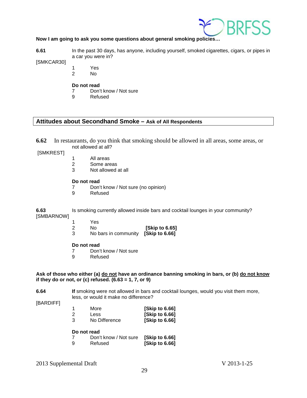

## **Now I am going to ask you some questions about general smoking policies…**

**6.61** In the past 30 days, has anyone, including yourself, smoked cigarettes, cigars, or pipes in a car you were in?

[SMKCAR30]

- 1 Yes
	- $No$

## **Do not read**

- 7 Don't know / Not sure
- 9 Refused

## **Attitudes about Secondhand Smoke – Ask of All Respondents**

**6.62** In restaurants, do you think that smoking should be allowed in all areas, some areas, or not allowed at all?

[SMKREST]

- 1 All areas<br>2 Some are
- Some areas
- 3 Not allowed at all

## **Do not read**

- 7 Don't know / Not sure (no opinion)<br>9 Refused
- **Refused**

**6.63** Is smoking currently allowed inside bars and cocktail lounges in your community? [SMBARNOW]

- 1 Yes
- 2 No **[Skip to 6.65]**
	- 3 No bars in community **[Skip to 6.66]**

## **Do not read**

- 7 Don't know / Not sure<br>9 Refused
- **Refused**

## **Ask of those who either (a) do not have an ordinance banning smoking in bars, or (b) do not know if they do or not, or (c) refused. (6.63 = 1, 7, or 9)**

**6.64 If** smoking were not allowed in bars and cocktail lounges, would you visit them more, less, or would it make no difference?

[BARDIFF]

| 1 | More          | [Skip to 6.66] |
|---|---------------|----------------|
| 2 | <b>Less</b>   | [Skip to 6.66] |
| 3 | No Difference | [Skip to 6.66] |

## **Do not read**

| 7 | Don't know / Not sure [Skip to 6.66] |                |
|---|--------------------------------------|----------------|
| 9 | Refused                              | [Skip to 6.66] |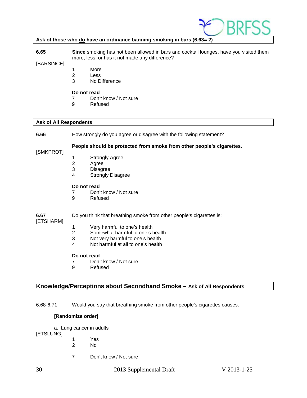

## **Ask of those who do have an ordinance banning smoking in bars (6.63= 2)**

**6.65 Since** smoking has not been allowed in bars and cocktail lounges, have you visited them more, less, or has it not made any difference?

[BARSINCE]

- 1 More<br>2 Less
	- **Less**
- 3 No Difference

#### **Do not read**

- 7 Don't know / Not sure
- 9 Refused

## **Ask of All Respondents**

**6.66** How strongly do you agree or disagree with the following statement?

#### **People should be protected from smoke from other people's cigarettes.**

[SMKPROT]

- 1 Strongly Agree<br>2 Agree
- 2 Agree<br>3 Disagr
- **Disagree**
- 4 Strongly Disagree

#### **Do not read**

- 7 Don't know / Not sure<br>9 Refused
	- **Refused**

## **6.67** Do you think that breathing smoke from other people's cigarettes is:

## [ETSHARM]

- 1 Very harmful to one's health<br>2 Somewhat harmful to one's h
- 2 Somewhat harmful to one's health<br>3 Not very harmful to one's health
- Not very harmful to one's health
- 4 Not harmful at all to one's health

## **Do not read**

- 7 Don't know / Not sure<br>9 Refused
- **Refused**

## **Knowledge/Perceptions about Secondhand Smoke – Ask of All Respondents**

6.68-6.71 Would you say that breathing smoke from other people's cigarettes causes:

## **[Randomize order]**

a. Lung cancer in adults

[ETSLUNG]

- 1 Yes<br>2 No
- 2 No
- 7 Don't know / Not sure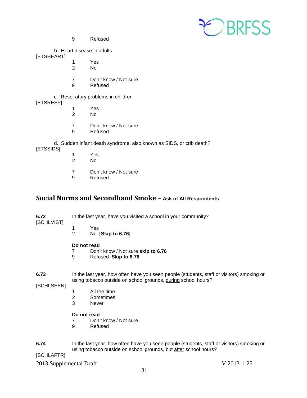

9 Refused

b. Heart disease in adults

[ETSHEART]

- 1 Yes 2 No
- 7 Don't know / Not sure
- 9 Refused

c. Respiratory problems in children [ETSRESP]

- 1 Yes
- 2 No
- 7 Don't know / Not sure
- 9 Refused

d. Sudden infant death syndrome, also known as SIDS, or crib death?

[ETSSIDS]

- 1 Yes<br>2 No
- 2 No
- 7 Don't know / Not sure<br>9 Refused
- **Refused**

## <span id="page-30-0"></span>**Social Norms and Secondhand Smoke – Ask of All Respondents**

**6.72** In the last year, have you visited a school in your community?

- [SCHLVIST]
- 
- 1 Yes<br>2 No 2 No **[Skip to 6.76]**

# **Do not read**<br> **7** Don'

- 7 Don't know / Not sure **skip to 6.76**
- 9 Refused **Skip to 6.76**

**6.73** In the last year, how often have you seen people (students, staff or visitors) smoking or using tobacco outside on school grounds, during school hours?

[SCHLSEEN]

- 1 All the time
- 2 Sometimes<br>3 Never
- **Never**

## **Do not read**

- 7 Don't know / Not sure<br>9 Refused
- **Refused**
- **6.74** In the last year, how often have you seen people (students, staff or visitors) smoking or using tobacco outside on school grounds, but after school hours?

[SCHLAFTR]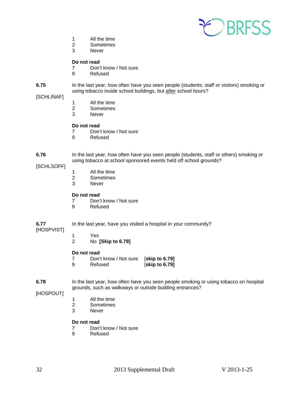

- 1 All the time<br>2 Sometimes
- **Sometimes**
- 3 Never

- 7 Don't know / Not sure<br>9 Refused
	- **Refused**

#### **6.75** In the last year, how often have you seen people (students, staff or visitors) smoking or using tobacco inside school buildings, but after school hours?

## [SCHLINAF]

- 1 All the time<br>2 Sometimes
- **Sometimes**
- 3 Never

## **Do not read**

- 7 Don't know / Not sure
- 9 Refused

**6.76** In the last year, how often have you seen people (students, staff or others) smoking or using tobacco at school sponsored events held off school grounds?

[SCHLSOFF]

- 1 All the time<br>2 Sometimes
- 2 Sometimes<br>3 Never
- **Never**

#### **Do not read**

- 7 Don't know / Not sure<br>9 Refused
	- **Refused**

## **6.77** In the last year, have you visited a hospital in your community?

## [HOSPVIST]

- - 1 Yes<br>2 No 2 No **[Skip to 6.79]**

#### **Do not read**

7 Don't know / Not sure [**skip to 6.79] [skip to 6.79]** 

**6.78** In the last year, how often have you seen people smoking or using tobacco on hospital grounds, such as walkways or outside building entrances?

[HOSPOUT]

- 1 All the time<br>2 Sometimes
- 2 Sometimes<br>3 Never
- **Never**

## **Do not read**

- 7 Don't know / Not sure<br>9 Refused
- **Refused**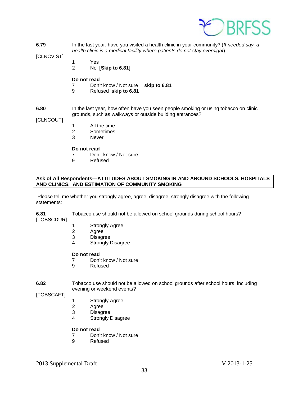

**6.79** In the last year, have you visited a health clinic in your community? (*If needed say, a health clinic is a medical facility where patients do not stay overnight*)

## [CLNCVIST]

- 1 Yes
- 2 No **[Skip to 6.81]**

## **Do not read**

- 7 Don't know / Not sure **skip to 6.81**
- 9 Refused **skip to 6.81**

#### **6.80** In the last year, how often have you seen people smoking or using tobacco on clinic grounds, such as walkways or outside building entrances?

## [CLNCOUT]

- 1 All the time
- 2 Sometimes
- 3 Never

## **Do not read**

- 7 Don't know / Not sure<br>9 Refused
- **Refused**

## **Ask of All Respondents—ATTITUDES ABOUT SMOKING IN AND AROUND SCHOOLS, HOSPITALS AND CLINICS, AND ESTIMATION OF COMMUNITY SMOKING**

Please tell me whether you strongly agree, agree, disagree, strongly disagree with the following statements:

## **6.81** Tobacco use should not be allowed on school grounds during school hours?

[TOBSCDUR]

- 1 Strongly Agree<br>2 Agree
- Agree
- 3 Disagree
- 4 Strongly Disagree

## **Do not read**

- 7 Don't know / Not sure<br>9 Refused
- **Refused**

## **6.82** Tobacco use should not be allowed on school grounds after school hours, including evening or weekend events?

[TOBSCAFT]

- 1 Strongly Agree
- 2 Agree<br>3 Disagr
- 3 Disagree<br>4 Strongly I
- Strongly Disagree

## **Do not read**

- 7 Don't know / Not sure
- 9 Refused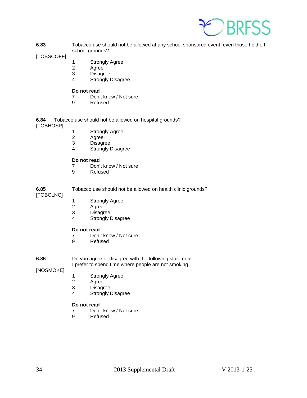

**6.83** Tobacco use should not be allowed at any school sponsored event, even those held off school grounds?

[TOBSCOFF]

- 1 Strongly Agree
- 2 Agree<br>3 Disagr
- **Disagree**
- 4 Strongly Disagree

## **Do not read**

- 7 Don't know / Not sure<br>9 Refused
- **Refused**

**6.84** Tobacco use should not be allowed on hospital grounds? [TOBHOSP]

- 1 Strongly Agree<br>2 Agree
- 
- 2 Agree<br>3 Disagr 3 Disagree<br>4 Strongly I
- Strongly Disagree

## **Do not read**

- 7 Don't know / Not sure<br>9 Refused
	- **Refused**

**6.85** Tobacco use should not be allowed on health clinic grounds? [TOBCLNC]

- 1 Strongly Agree<br>2 Agree
- 2 Agree<br>3 Disagr
- 3 Disagree<br>4 Strongly I
- Strongly Disagree

## **Do not read**

- 7 Don't know / Not sure
- 9 Refused

**6.86** Do you agree or disagree with the following statement:

I prefer to spend time where people are not smoking.

[NOSMOKE]

- 1 Strongly Agree<br>2 Agree
- 2 Agree<br>3 Disagr
- **Disagree**
- 4 Strongly Disagree

## **Do not read**

- 7 Don't know / Not sure<br>9 Refused
- **Refused**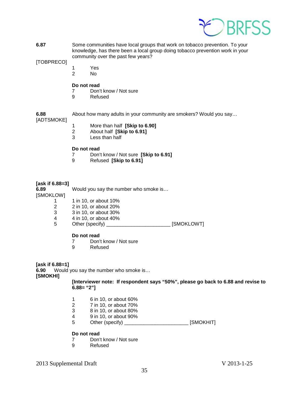

**6.87** Some communities have local groups that work on tobacco prevention. To your knowledge, has there been a local group doing tobacco prevention work in your community over the past few years?

[TOBPRECO]

- 1 Yes
	- $No$

## **Do not read**

- 7 Don't know / Not sure
- 9 Refused

# [ADTSMOKE]

- **6.88** About how many adults in your community are smokers? Would you say…
	- 1 More than half **[Skip to 6.90]**
	- 2 About half **[Skip to 6.91]**
	- Less than half

## **Do not read**

- 7 Don't know / Not sure **[Skip to 6.91]**
- 9 Refused **[Skip to 6.91]**

## **[ask if 6.88=3]**

**6.89** Would you say the number who smoke is…

[SMOKLOW]

- 1 1 1 10, or about 10%
- 2 2 in 10, or about 20%<br>3 3 in 10, or about 30%
- 3 3 in 10, or about 30%<br>4 4 in 10, or about 40%
- 4 4 in 10, or about 40%<br>5 Other (specify)
- Other (specify) \_\_\_\_\_\_\_\_\_\_\_\_\_\_\_\_\_\_\_\_\_\_\_\_\_\_ [SMOKLOWT]

## **Do not read**

- 7 Don't know / Not sure
- 9 Refused

## **[ask if 6.88=1]**

**6.90** Would you say the number who smoke is…

**[SMOKHI]**

**[Interviewer note: If respondent says "50%", please go back to 6.88 and revise to 6.88= "2"]**

- 1 6 in 10, or about 60%
- 2 7 in 10, or about 70%<br>3 8 in 10, or about 80%
- 3 8 in 10, or about 80%
- 4 9 in 10, or about 90%
- 5 Other (specify) \_\_\_\_\_\_\_\_\_\_\_\_\_\_\_\_\_\_\_\_\_\_\_\_\_\_ [SMOKHIT]

## **Do not read**

- 7 Don't know / Not sure<br>9 Refused
- **Refused**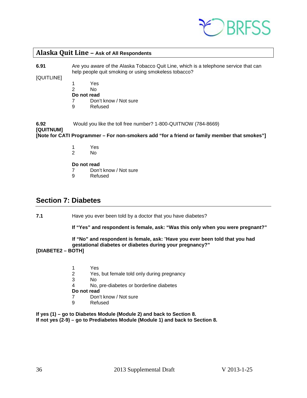

## <span id="page-35-0"></span>**Alaska Quit Line – Ask of All Respondents**

**6.91** Are you aware of the Alaska Tobacco Quit Line, which is a telephone service that can help people quit smoking or using smokeless tobacco?

[QUITLINE]

- 1 Yes
- 2 No
- **Do not read**
- 7 Don't know / Not sure
- 9 Refused

**6.92** Would you like the toll free number? 1-800-QUITNOW (784-8669) **[QUITNUM]**

**[Note for CATI Programmer – For non-smokers add "for a friend or family member that smokes"]**

- 1 Yes
- N<sub>o</sub>

**Do not read**

- 7 Don't know / Not sure
- 9 Refused

## <span id="page-35-1"></span>**Section 7: Diabetes**

**7.1** Have you ever been told by a doctor that you have diabetes?

**If "Yes" and respondent is female, ask: "Was this only when you were pregnant?"** 

## **If "No" and respondent is female, ask:** "**Have you ever been told that you had gestational diabetes or diabetes during your pregnancy?"**

## **[DIABETE2 – BOTH]**

- 1 Yes<br>2 Yes.
- 2 Yes, but female told only during pregnancy
- No.
- 4 No, pre-diabetes or borderline diabetes
- **Do not read**<br>7 Don't
- Don't know / Not sure
- 9 Refused

**If yes (1) – go to Diabetes Module (Module 2) and back to Section 8. If not yes (2-9) – go to Prediabetes Module (Module 1) and back to Section 8.**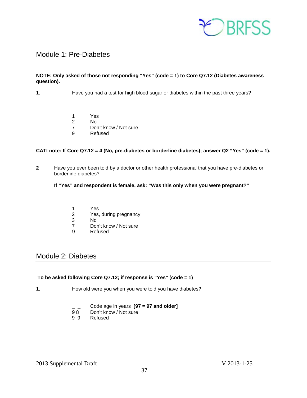

## <span id="page-36-0"></span>Module 1: Pre-Diabetes

## **NOTE: Only asked of those not responding "Yes" (code = 1) to Core Q7.12 (Diabetes awareness question).**

- **1.** Have you had a test for high blood sugar or diabetes within the past three years?
	- 1 Yes<br>2 No
	- 2 No
	- 7 Don't know / Not sure<br>9 Refused
	- **Refused**

## **CATI note: If Core Q7.12 = 4 (No, pre-diabetes or borderline diabetes); answer Q2 "Yes" (code = 1).**

**2** Have you ever been told by a doctor or other health professional that you have pre-diabetes or borderline diabetes?

## **If "Yes" and respondent is female, ask: "Was this only when you were pregnant?"**

- 1 Yes<br>2 Yes.
- Yes, during pregnancy
- 3 No<br>7 Dou
- 7 Don't know / Not sure<br>9 Refused
- **Refused**

## <span id="page-36-1"></span>Module 2: Diabetes

## **To be asked following Core Q7.12; if response is "Yes" (code = 1)**

- **1.** How old were you when you were told you have diabetes?
	- \_ \_ Code age in years **[97 = 97 and older]**
	- 98 Don't know / Not sure<br>99 Refused
	- **Refused**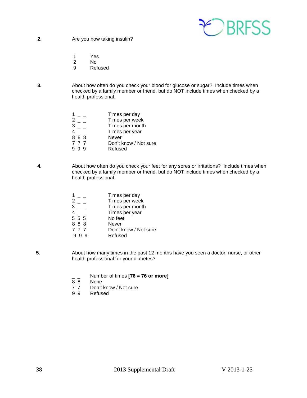

**2.** Are you now taking insulin?

- 1 Yes<br>2 No
- 2 No
- 9 Refused
- **3.** About how often do you check your blood for glucose or sugar? Include times when checked by a family member or friend, but do NOT include times when checked by a health professional.

|             | Times per day         |
|-------------|-----------------------|
| 2           | Times per week        |
| $3^{\circ}$ | Times per month       |
|             | Times per year        |
| 888         | Never                 |
| 777         | Don't know / Not sure |
| 999         | Refused               |
|             |                       |

**4.** About how often do you check your feet for any sores or irritations? Include times when checked by a family member or friend, but do NOT include times when checked by a health professional.

|       | Times per day         |
|-------|-----------------------|
| 2     | Times per week        |
| 3     | Times per month       |
|       | Times per year        |
| 5 5 5 | No feet               |
| 888   | Never                 |
| 777   | Don't know / Not sure |
|       | Refused               |

- **5.** About how many times in the past 12 months have you seen a doctor, nurse, or other health professional for your diabetes?
	- \_ \_ Number of times **[76 = 76 or more]**
	- 8 8 None<br>7 7 Don't
	- 7 7 Don't know / Not sure<br>9 9 Refused
	- **Refused**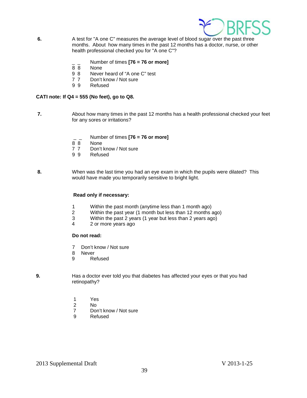

- **6.** A test for "A one C" measures the average level of blood sugar over the past three months. About how many times in the past 12 months has a doctor, nurse, or other health professional checked you for "A one C"?
	- $\frac{1}{8}$   $\frac{1}{8}$  Number of times **[76 = 76 or more]**
	- 8 8 None<br>9 8 Never
	- Never heard of "A one C" test
	- 7 7 Don't know / Not sure
	- 9 9 Refused

## **CATI note: If Q4 = 555 (No feet), go to Q8.**

- **7.** About how many times in the past 12 months has a health professional checked your feet for any sores or irritations?
	- \_ \_ Number of times **[76 = 76 or more]**
	- **None**
	- 7 7 Don't know / Not sure<br>9 9 Refused
	- **Refused**
- **8.** When was the last time you had an eye exam in which the pupils were dilated? This would have made you temporarily sensitive to bright light.

## **Read only if necessary:**

- 1 Within the past month (anytime less than 1 month ago)
- 2 Within the past year (1 month but less than 12 months ago)<br>3 Within the past 2 years (1 year but less than 2 years ago)
- 3 Within the past 2 years (1 year but less than 2 years ago)
- 2 or more years ago

## **Do not read:**

- 7 Don't know / Not sure
- 8 Never
- 9 Refused
- **9.** Has a doctor ever told you that diabetes has affected your eyes or that you had retinopathy?
	- 1 Yes
	- 2 No<br>7 Dor
	- Don't know / Not sure
	- 9 Refused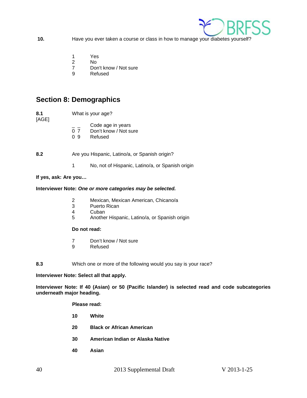

- **10.** Have you ever taken a course or class in how to manage your diabetes yourself?
	- 1 Yes
	- 2 No
	- 7 Don't know / Not sure<br>9 Refused
	- **Refused**

## <span id="page-39-0"></span>**Section 8: Demographics**

- **8.1** What is your age?
- [AGE]
- 
- $\frac{1}{2}$   $\frac{1}{2}$  Code age in years<br>0 7 Don't know / Not su
- Don't know / Not sure
- 0 9 Refused
- **8.2** Are you Hispanic, Latino/a, or Spanish origin?
	- 1 No, not of Hispanic, Latino/a, or Spanish origin

## **If yes, ask: Are you…**

## **Interviewer Note:** *One or more categories may be selected.*

- 2 Mexican, Mexican American, Chicano/a
- 3 Puerto Rican
- 4 Cuban
- 5 Another Hispanic, Latino/a, or Spanish origin

## **Do not read:**

- 7 Don't know / Not sure
- 9 Refused
- **8.3** Which one or more of the following would you say is your race?

**Interviewer Note: Select all that apply.**

**Interviewer Note: If 40 (Asian) or 50 (Pacific Islander) is selected read and code subcategories underneath major heading.**

**Please read:**

- **10 White**
- **20 Black or African American**
- **30 American Indian or Alaska Native**
- **40 Asian**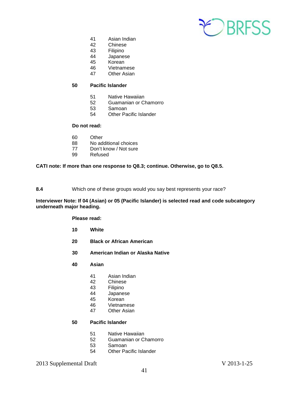

- 41 Asian Indian
- 42 Chinese
- 43 Filipino<br>44 Japanes
- **Japanese**
- 45 Korean
- 46 Vietnamese<br>47 Other Asian
- **Other Asian**

## **50 Pacific Islander**

- 51 Native Hawaiian<br>52 Guamanian or Cl
- 52 Guamanian or Chamorro<br>53 Samoan
- **Samoan**
- 54 Other Pacific Islander

## **Do not read:**

- 60 Other
- 88 No additional choices<br>77 Don't know / Not sure
- 77 Don't know / Not sure<br>99 Refused
- Refused

## **CATI note: If more than one response to Q8.3; continue. Otherwise, go to Q8.5.**

## **8.4** Which one of these groups would you say best represents your race?

## **Interviewer Note: If 04 (Asian) or 05 (Pacific Islander) is selected read and code subcategory underneath major heading.**

**Please read:**

- **10 White**
- **20 Black or African American**
- **30 American Indian or Alaska Native**
- **40 Asian**
	- 41 Asian Indian
	- **Chinese**
	- 43 Filipino
	- 44 Japanese<br>45 Korean
	- Korean
	- 46 Vietnamese<br>47 Other Asian
	- **Other Asian**

## **50 Pacific Islander**

- 51 Native Hawaiian
- 52 Guamanian or Chamorro<br>53 Samoan
- **Samoan**
- 54 Other Pacific Islander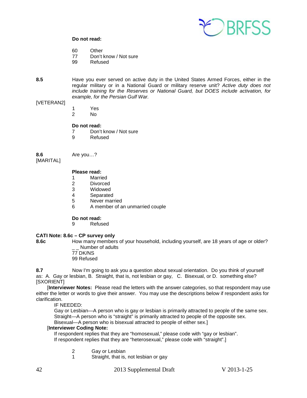

- 60 Other<br>77 Don't
- Don't know / Not sure
- 99 Refused
- **8.5** Have you ever served on active duty in the United States Armed Forces, either in the regular military or in a National Guard or military reserve unit? *Active duty does not include training for the Reserves or National Guard, but DOES include activation, for example, for the Persian Gulf War.*

## [VETERAN2]

- 1 Yes
- 2 No

## **Do not read:**

- 7 Don't know / Not sure
- 9 Refused

**8.6** Are you…?

[MARITAL]

## **Please read:**

- 1 Married
- 2 Divorced<br>3 Widowed
- Widowed
- 4 Separated
- 5 Never married
- 6 A member of an unmarried couple

#### **Do not read:**

9 Refused

## **CATI Note: 8.6c – CP survey only**

**8.6c** How many members of your household, including yourself, are 18 years of age or older?

Number of adults 77 DK/NS 99 Refused

**8.7** Now I'm going to ask you a question about sexual orientation. Do you think of yourself as: A. Gay or lesbian, B. Straight, that is, not lesbian or gay, C. Bisexual, or D. something else? [SXORIENT]

 [**Interviewer Notes:** Please read the letters with the answer categories, so that respondent may use either the letter or words to give their answer. You may use the descriptions below if respondent asks for clarification.

IF NEEDED:

Gay or Lesbian—A person who is gay or lesbian is primarily attracted to people of the same sex. Straight—A person who is "straight" is primarily attracted to people of the opposite sex.

Bisexual—A person who is bisexual attracted to people of either sex.]

## [**Interviewer Coding Note:**

If respondent replies that they are "homosexual," please code with "gay or lesbian". If respondent replies that they are "heterosexual," please code with "straight".]

2 Gay or Lesbian

1 Straight, that is, not lesbian or gay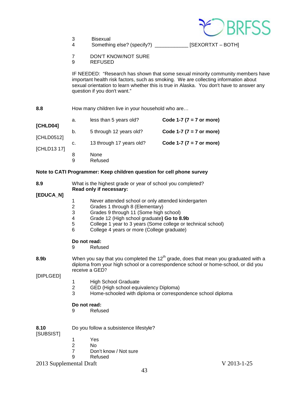

4 Something else? (specify?) \_\_\_\_\_\_\_\_\_\_\_\_ [SEXORTXT – BOTH]

- 7 DON'T KNOW/NOT SURE
- 9 REFUSED

IF NEEDED: "Research has shown that some sexual minority community members have important health risk factors, such as smoking. We are collecting information about sexual orientation to learn whether this is true in Alaska. You don't have to answer any question if you don't want."

## 8.8 **How many children live in your household who are...**

| [CHLD04]    | а. | less than 5 years old?   | Code 1-7 ( $7 = 7$ or more) |
|-------------|----|--------------------------|-----------------------------|
| [CHLD0512]  | b. | 5 through 12 years old?  | Code 1-7 ( $7 = 7$ or more) |
| [CHLD13 17] | C. | 13 through 17 years old? | Code 1-7 ( $7 = 7$ or more) |
|             | 8  | None<br>Refused          |                             |

## **Note to CATI Programmer: Keep children question for cell phone survey**

| 8.9<br><b>[EDUCA_N]</b> | What is the highest grade or year of school you completed?<br>Read only if necessary:                                                                                                                    |                                                                                                                                                                                                                                                                                              |  |
|-------------------------|----------------------------------------------------------------------------------------------------------------------------------------------------------------------------------------------------------|----------------------------------------------------------------------------------------------------------------------------------------------------------------------------------------------------------------------------------------------------------------------------------------------|--|
|                         | 1<br>$\overline{c}$<br>3<br>$\overline{\mathbf{4}}$<br>5<br>6                                                                                                                                            | Never attended school or only attended kindergarten<br>Grades 1 through 8 (Elementary)<br>Grades 9 through 11 (Some high school)<br>Grade 12 (High school graduate) Go to 8.9b<br>College 1 year to 3 years (Some college or technical school)<br>College 4 years or more (College graduate) |  |
|                         | Do not read:<br>9                                                                                                                                                                                        | Refused                                                                                                                                                                                                                                                                                      |  |
| 8.9b<br>[DIPLGED]       | When you say that you completed the 12 <sup>th</sup> grade, does that mean you graduated with a<br>diploma from your high school or a correspondence school or home-school, or did you<br>receive a GED? |                                                                                                                                                                                                                                                                                              |  |
|                         | 1<br>$\overline{c}$<br>3                                                                                                                                                                                 | <b>High School Graduate</b><br>GED (High school equivalency Diploma)<br>Home-schooled with diploma or correspondence school diploma                                                                                                                                                          |  |
|                         | Do not read:<br>9                                                                                                                                                                                        | Refused                                                                                                                                                                                                                                                                                      |  |
| 8.10<br>[SUBSIST]       |                                                                                                                                                                                                          | Do you follow a subsistence lifestyle?                                                                                                                                                                                                                                                       |  |
|                         | 2                                                                                                                                                                                                        | Yes<br>N٥                                                                                                                                                                                                                                                                                    |  |

- $\frac{2}{7}$ 7 Don't know / Not sure<br>9 Refused
- **Refused**

<sup>2013</sup> Supplemental Draft V 2013-1-25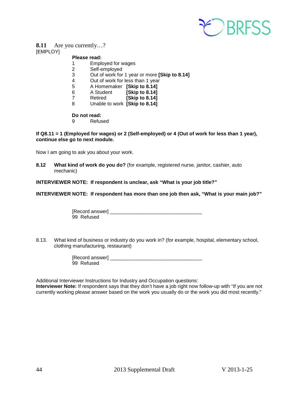

## **8.11** Are you currently…?

[EMPLOY]

## **Please read:**

- 1 Employed for wages<br>2 Self-employed
- 2 Self-employed<br>3 Out of work for
- 3 Out of work for 1 year or more **[Skip to 8.14]**
- Out of work for less than 1 year
- 5 A Homemaker **[Skip to 8.14]**
- **[Skip to 8.14]**
- 7 Retired **[Skip to 8.14]**
- 8 Unable to work **[Skip to 8.14]**

# **Do not read:**<br><sup>Q</sup> Refus

**Refused** 

## **If Q8.11 = 1 (Employed for wages) or 2 (Self-employed) or 4 (Out of work for less than 1 year), continue else go to next module.**

Now I am going to ask you about your work.

**8.12 What kind of work do you do?** (for example, registered nurse, janitor, cashier, auto mechanic)

**INTERVIEWER NOTE: If respondent is unclear, ask "What is your job title?"**

**INTERVIEWER NOTE: If respondent has more than one job then ask, "What is your main job?"**

| [Record answer] |  |
|-----------------|--|
| 99 Refused      |  |

8.13. What kind of business or industry do you work in? (for example, hospital, elementary school, clothing manufacturing, restaurant)

| [Record answer] |  |
|-----------------|--|
| 99 Refused      |  |

Additional Interviewer Instructions for Industry and Occupation questions:

**Interviewer Note:** If respondent says that they don't have a job right now follow-up with "If you are not currently working please answer based on the work you usually do or the work you did most recently."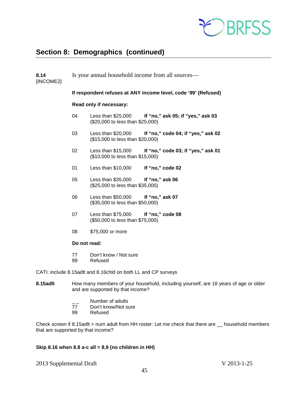

# <span id="page-44-0"></span>**Section 8: Demographics (continued)**

| 8.14<br>[INCOME2] | Is your annual household income from all sources—              |                                                                 |                                                                                      |  |
|-------------------|----------------------------------------------------------------|-----------------------------------------------------------------|--------------------------------------------------------------------------------------|--|
|                   | If respondent refuses at ANY income level, code '99' (Refused) |                                                                 |                                                                                      |  |
|                   |                                                                | Read only if necessary:                                         |                                                                                      |  |
|                   | 04                                                             | (\$20,000 to less than \$25,000)                                | Less than \$25,000 If "no," ask 05; if "yes," ask 03                                 |  |
|                   | 03                                                             | (\$15,000 to less than \$20,000)                                | Less than \$20,000 If "no," code 04; if "yes," ask 02                                |  |
|                   | 02                                                             | (\$10,000 to less than \$15,000)                                | Less than \$15,000 If "no," code 03; if "yes," ask 01                                |  |
|                   | 01                                                             | Less than \$10,000                                              | If "no," code 02                                                                     |  |
|                   | 05                                                             | Less than \$35,000<br>(\$25,000 to less than \$35,000)          | If "no," ask 06                                                                      |  |
|                   | 06                                                             | Less than \$50,000<br>(\$35,000 to less than \$50,000)          | If "no," ask 07                                                                      |  |
|                   | 07                                                             | Less than \$75,000<br>(\$50,000 to less than \$75,000)          | If "no," code 08                                                                     |  |
|                   | 08                                                             | \$75,000 or more                                                |                                                                                      |  |
|                   | Do not read:                                                   |                                                                 |                                                                                      |  |
|                   | 77<br>99                                                       | Don't know / Not sure<br>Refused                                |                                                                                      |  |
|                   |                                                                | CATI: include 8.15 adlt and 8.16 chld on both LL and CP surveys |                                                                                      |  |
| 8.15adlt          |                                                                |                                                                 | How many members of your household, including yourself, are 18 years of age or older |  |

- and are supported by that income?
	-
	- \_\_ Number of adults<br>77 Don't know/Not su 77 Don't know/Not sure<br>99 Refused
	- Refused

Check screen if 8.15adlt > num adult from HH roster: Let me check that there are \_\_ household members that are supported by that income?

## **Skip 8.16 when 8.8 a-c all = 8,9 (no children in HH)**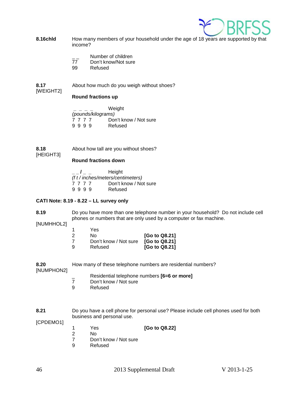

- **8.16chld** How many members of your household under the age of 18 years are supported by that income?
	- Number of children
	- 77 Don't know/Not sure
	- 99 Refused
- **8.17** About how much do you weigh without shoes?

## [WEIGHT2]

**Round fractions up**

**\_ \_ \_ \_** Weight *(pounds/kilograms)*  $\begin{array}{cc} 7 & 7 & 7 & 7 \end{array}$  Don't know / Not sure<br>9 9 9 9 Refused 9 9 9 9

**8.18** About how tall are you without shoes? [HEIGHT3]

## **Round fractions down**

**\_ \_ / \_ \_** Height *(f t / inches/meters/centimeters)* 7 7 7 7 Don't know / Not sure<br>9 9 9 9 Refused 9 9 9 9

## **CATI Note: 8.19 - 8.22 – LL survey only**

**8.19** Do you have more than one telephone number in your household? Do not include cell phones or numbers that are only used by a computer or fax machine.

[NUMHHOL2]

|    | Yes                   |               |
|----|-----------------------|---------------|
| -2 | Nο                    | [Go to Q8.21] |
|    | Don't know / Not sure | [Go to Q8.21] |
| -9 | Refused               | [Go to Q8.21] |

| 8.20       | How many of these telephone numbers are residential numbers? |
|------------|--------------------------------------------------------------|
| [NUMPHON2] |                                                              |

- \_ Residential telephone numbers **[6=6 or more]**
- 7 Don't know / Not sure<br>9 Refused
- **Refused**

**8.21** Do you have a cell phone for personal use? Please include cell phones used for both business and personal use.

[CPDEMO1]

1 Yes **[Go to Q8.22]**

- 2 No<br>7 Dor
- 7 Don't know / Not sure<br>9 Refused
- **Refused**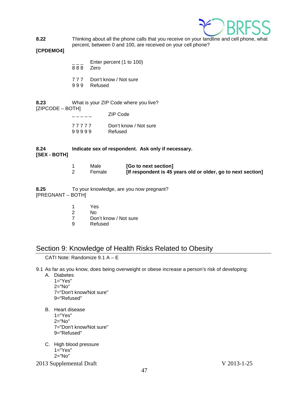

**8.22** Thinking about all the phone calls that you receive on your landline and cell phone, what percent, between 0 and 100, are received on your cell phone?

## **[CPDEMO4]**

- Enter percent (1 to 100)
- 8 8 8 Zero
- 7 7 7 Don't know / Not sure
- 9 9 9 Refused

**8.23** What is your ZIP Code where you live? [ZIPCODE – BOTH] \_ \_ \_ \_ \_ ZIP Code

|       | ZIP COUP              |
|-------|-----------------------|
| 77777 | Don't know / Not sure |
| 99999 | Refused               |

## **8.24 Indicate sex of respondent. Ask only if necessary. [SEX - BOTH]**

| Male   | [Go to next section]                                         |
|--------|--------------------------------------------------------------|
| Female | [If respondent is 45 years old or older, go to next section] |

**8.25** To your knowledge, are you now pregnant? [PREGNANT – BOTH]

- 1 Yes
- 2 No
- 7 Don't know / Not sure<br>9 Refused
- **Refused**

## <span id="page-46-0"></span>Section 9: Knowledge of Health Risks Related to Obesity

CATI Note: Randomize 9.1 A – E

9.1 As far as you know, does being overweight or obese increase a person's risk of developing:

- A. Diabetes
	- 1="Yes"
	- 2="No"
	- 7="Don't know/Not sure"
	- 9="Refused"
- B. Heart disease
	- 1="Yes"
	- 2="No"
	- 7="Don't know/Not sure" 9="Refused"
- C. High blood pressure  $1 = 1$ <sup>"</sup>Yes"
	- 2="No"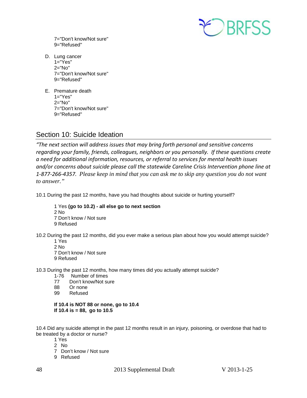

7="Don't know/Not sure" 9="Refused"

- D. Lung cancer 1="Yes" 2="No" 7="Don't know/Not sure" 9="Refused"
- E. Premature death  $1="Yes"$ 2="No" 7="Don't know/Not sure" 9="Refused"

## <span id="page-47-0"></span>Section 10: Suicide Ideation

*"The next section will address issues that may bring forth personal and sensitive concerns regarding your family, friends, colleagues, neighbors or you personally. If these questions create a need for additional information, resources, or referral to services for mental health issues and/or concerns about suicide please call the statewide Careline Crisis Intervention phone line at 1-877-266-4357. Please keep in mind that you can ask me to skip any question you do not want to answer."*

10.1 During the past 12 months, have you had thoughts about suicide or hurting yourself?

1 Yes **(go to 10.2) - all else go to next section** 2 No 7 Don't know / Not sure 9 Refused

10.2 During the past 12 months, did you ever make a serious plan about how you would attempt suicide?

1 Yes 2 No

7 Don't know / Not sure 9 Refused

10.3 During the past 12 months, how many times did you actually attempt suicide?

- 1-76 Number of times
- 77 Don't know/Not sure<br>88 Or none
- Or none
- 99 Refused

## **If 10.4 is NOT 88 or none, go to 10.4 If 10.4 is = 88, go to 10.5**

10.4 Did any suicide attempt in the past 12 months result in an injury, poisoning, or overdose that had to be treated by a doctor or nurse?

- 1 Yes
- 2 No
- 7 Don't know / Not sure
- 9 Refused